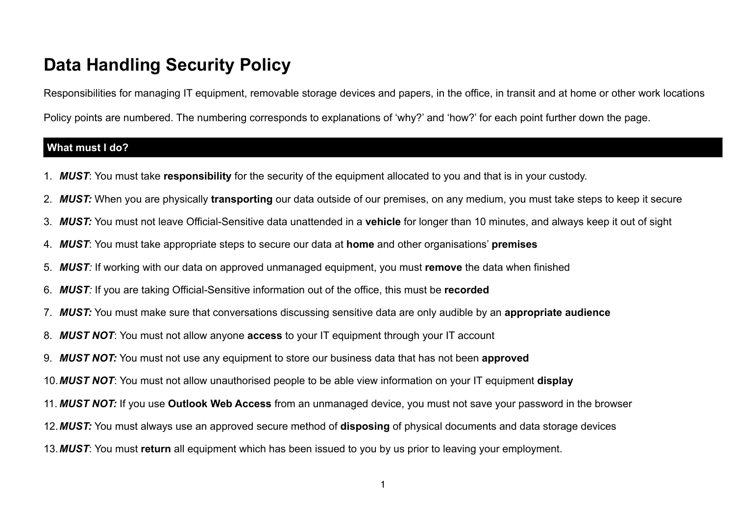# **Data Handling Security Policy**

Responsibilities for managing IT equipment, removable storage devices and papers, in the office, in transit and at home or other work locations

Policy points are numbered. The numbering corresponds to explanations of 'why?' and 'how?' for each point further down the page.

### **What must I do?**

- 1. *MUST*: You must take **responsibility** for the security of the equipment allocated to you and that is in your custody.
- 2. *MUST:* When you are physically **transporting** our data outside of our premises, on any medium, you must take steps to keep it secure
- 3. *MUST:* You must not leave Official-Sensitive data unattended in a **vehicle** for longer than 10 minutes, and always keep it out of sight
- 4. *MUST*: You must take appropriate steps to secure our data at **home** and other organisations' **premises**
- 5. *MUST:* If working with our data on approved unmanaged equipment, you must **remove** the data when finished
- 6. *MUST:* If you are taking Official-Sensitive information out of the office, this must be **recorded**
- 7. *MUST:* You must make sure that conversations discussing sensitive data are only audible by an **appropriate audience**
- 8. *MUST NOT*: You must not allow anyone **access** to your IT equipment through your IT account
- 9. *MUST NOT:* You must not use any equipment to store our business data that has not been **approved**
- 10.*MUST NOT*: You must not allow unauthorised people to be able view information on your IT equipment **display**
- 11. *MUST NOT:* If you use **Outlook Web Access** from an unmanaged device, you must not save your password in the browser
- 12.*MUST:* You must always use an approved secure method of **disposing** of physical documents and data storage devices
- 13.*MUST*: You must **return** all equipment which has been issued to you by us prior to leaving your employment.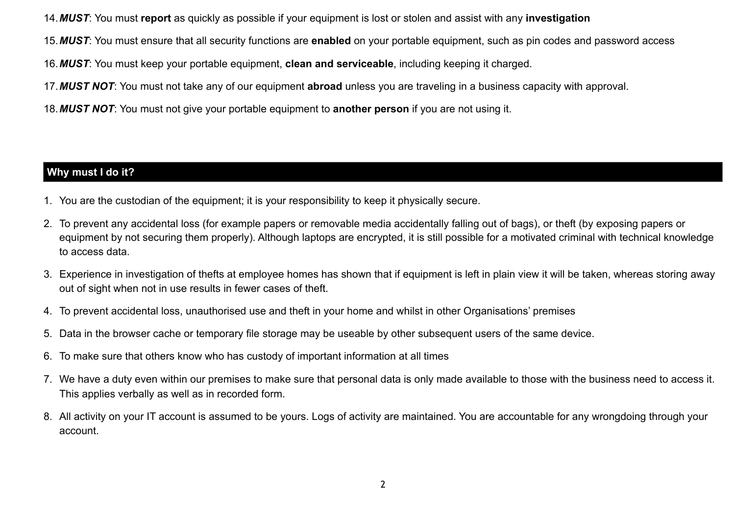14.*MUST*: You must **report** as quickly as possible if your equipment is lost or stolen and assist with any **investigation**

15.*MUST*: You must ensure that all security functions are **enabled** on your portable equipment, such as pin codes and password access

16.*MUST*: You must keep your portable equipment, **clean and serviceable**, including keeping it charged.

17.*MUST NOT*: You must not take any of our equipment **abroad** unless you are traveling in a business capacity with approval.

18.*MUST NOT*: You must not give your portable equipment to **another person** if you are not using it.

## **Why must I do it?**

- 1. You are the custodian of the equipment; it is your responsibility to keep it physically secure.
- 2. To prevent any accidental loss (for example papers or removable media accidentally falling out of bags), or theft (by exposing papers or equipment by not securing them properly). Although laptops are encrypted, it is still possible for a motivated criminal with technical knowledge to access data.
- 3. Experience in investigation of thefts at employee homes has shown that if equipment is left in plain view it will be taken, whereas storing away out of sight when not in use results in fewer cases of theft.
- 4. To prevent accidental loss, unauthorised use and theft in your home and whilst in other Organisations' premises
- 5. Data in the browser cache or temporary file storage may be useable by other subsequent users of the same device.
- 6. To make sure that others know who has custody of important information at all times
- 7. We have a duty even within our premises to make sure that personal data is only made available to those with the business need to access it. This applies verbally as well as in recorded form.
- 8. All activity on your IT account is assumed to be yours. Logs of activity are maintained. You are accountable for any wrongdoing through your account.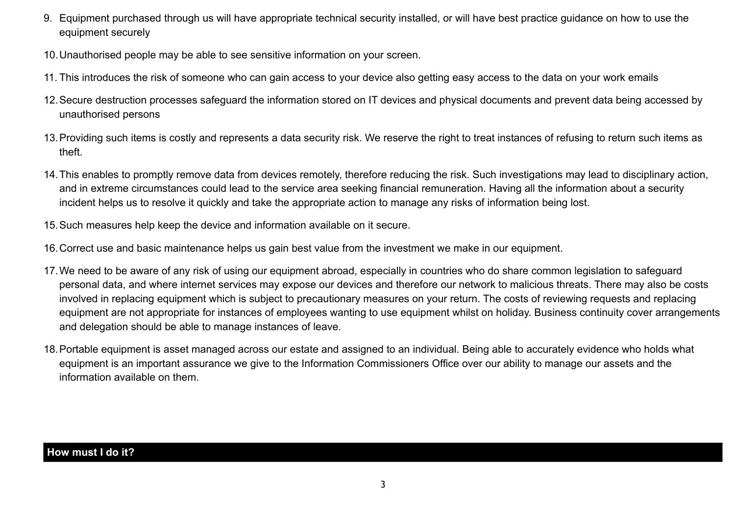- 9. Equipment purchased through us will have appropriate technical security installed, or will have best practice guidance on how to use the equipment securely
- 10.Unauthorised people may be able to see sensitive information on your screen.
- 11. This introduces the risk of someone who can gain access to your device also getting easy access to the data on your work emails
- 12.Secure destruction processes safeguard the information stored on IT devices and physical documents and prevent data being accessed by unauthorised persons
- 13.Providing such items is costly and represents a data security risk. We reserve the right to treat instances of refusing to return such items as theft.
- 14.This enables to promptly remove data from devices remotely, therefore reducing the risk. Such investigations may lead to disciplinary action, and in extreme circumstances could lead to the service area seeking financial remuneration. Having all the information about a security incident helps us to resolve it quickly and take the appropriate action to manage any risks of information being lost.
- 15.Such measures help keep the device and information available on it secure.
- 16.Correct use and basic maintenance helps us gain best value from the investment we make in our equipment.
- 17.We need to be aware of any risk of using our equipment abroad, especially in countries who do share common legislation to safeguard personal data, and where internet services may expose our devices and therefore our network to malicious threats. There may also be costs involved in replacing equipment which is subject to precautionary measures on your return. The costs of reviewing requests and replacing equipment are not appropriate for instances of employees wanting to use equipment whilst on holiday. Business continuity cover arrangements and delegation should be able to manage instances of leave.
- 18.Portable equipment is asset managed across our estate and assigned to an individual. Being able to accurately evidence who holds what equipment is an important assurance we give to the Information Commissioners Office over our ability to manage our assets and the information available on them.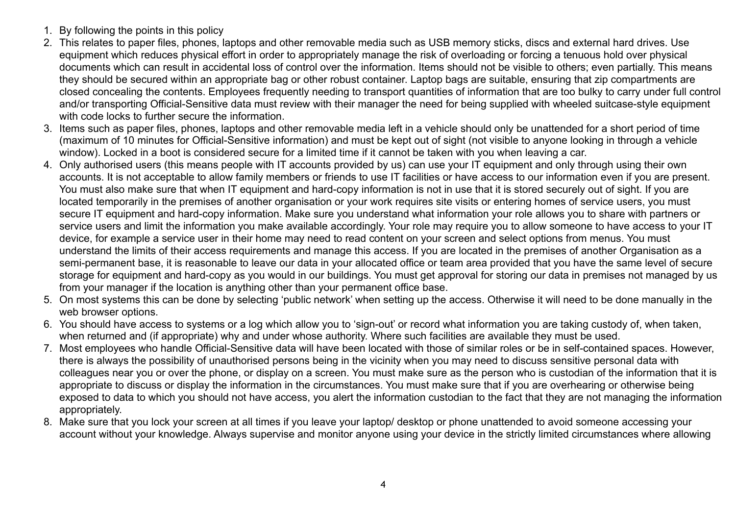- 1. By following the points in this policy
- 2. This relates to paper files, phones, laptops and other removable media such as USB memory sticks, discs and external hard drives. Use equipment which reduces physical effort in order to appropriately manage the risk of overloading or forcing a tenuous hold over physical documents which can result in accidental loss of control over the information. Items should not be visible to others; even partially. This means they should be secured within an appropriate bag or other robust container. Laptop bags are suitable, ensuring that zip compartments are closed concealing the contents. Employees frequently needing to transport quantities of information that are too bulky to carry under full control and/or transporting Official-Sensitive data must review with their manager the need for being supplied with wheeled suitcase-style equipment with code locks to further secure the information.
- 3. Items such as paper files, phones, laptops and other removable media left in a vehicle should only be unattended for a short period of time (maximum of 10 minutes for Official-Sensitive information) and must be kept out of sight (not visible to anyone looking in through a vehicle window). Locked in a boot is considered secure for a limited time if it cannot be taken with you when leaving a car.
- 4. Only authorised users (this means people with IT accounts provided by us) can use your IT equipment and only through using their own accounts. It is not acceptable to allow family members or friends to use IT facilities or have access to our information even if you are present. You must also make sure that when IT equipment and hard-copy information is not in use that it is stored securely out of sight. If you are located temporarily in the premises of another organisation or your work requires site visits or entering homes of service users, you must secure IT equipment and hard-copy information. Make sure you understand what information your role allows you to share with partners or service users and limit the information you make available accordingly. Your role may require you to allow someone to have access to your IT device, for example a service user in their home may need to read content on your screen and select options from menus. You must understand the limits of their access requirements and manage this access. If you are located in the premises of another Organisation as a semi-permanent base, it is reasonable to leave our data in your allocated office or team area provided that you have the same level of secure storage for equipment and hard-copy as you would in our buildings. You must get approval for storing our data in premises not managed by us from your manager if the location is anything other than your permanent office base.
- 5. On most systems this can be done by selecting 'public network' when setting up the access. Otherwise it will need to be done manually in the web browser options.
- 6. You should have access to systems or a log which allow you to 'sign-out' or record what information you are taking custody of, when taken, when returned and (if appropriate) why and under whose authority. Where such facilities are available they must be used.
- 7. Most employees who handle Official-Sensitive data will have been located with those of similar roles or be in self-contained spaces. However, there is always the possibility of unauthorised persons being in the vicinity when you may need to discuss sensitive personal data with colleagues near you or over the phone, or display on a screen. You must make sure as the person who is custodian of the information that it is appropriate to discuss or display the information in the circumstances. You must make sure that if you are overhearing or otherwise being exposed to data to which you should not have access, you alert the information custodian to the fact that they are not managing the information appropriately.
- 8. Make sure that you lock your screen at all times if you leave your laptop/ desktop or phone unattended to avoid someone accessing your account without your knowledge. Always supervise and monitor anyone using your device in the strictly limited circumstances where allowing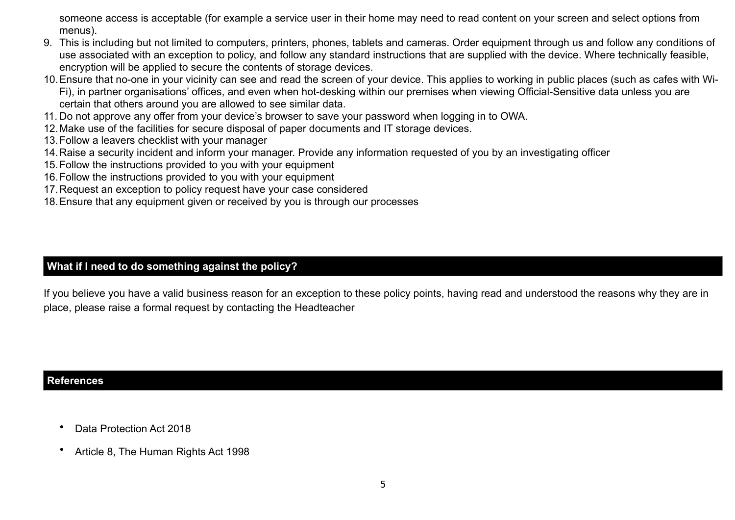someone access is acceptable (for example a service user in their home may need to read content on your screen and select options from menus).

- 9. This is including but not limited to computers, printers, phones, tablets and cameras. Order equipment through us and follow any conditions of use associated with an exception to policy, and follow any standard instructions that are supplied with the device. Where technically feasible, encryption will be applied to secure the contents of storage devices.
- 10.Ensure that no-one in your vicinity can see and read the screen of your device. This applies to working in public places (such as cafes with Wi-Fi), in partner organisations' offices, and even when hot-desking within our premises when viewing Official-Sensitive data unless you are certain that others around you are allowed to see similar data.
- 11. Do not approve any offer from your device's browser to save your password when logging in to OWA.
- 12.Make use of the facilities for secure disposal of paper documents and IT storage devices.
- 13.Follow a leavers checklist with your manager
- 14.Raise a security incident and inform your manager. Provide any information requested of you by an investigating officer
- 15.Follow the instructions provided to you with your equipment
- 16.Follow the instructions provided to you with your equipment
- 17.Request an exception to policy request have your case considered
- 18.Ensure that any equipment given or received by you is through our processes

## **What if I need to do something against the policy?**

If you believe you have a valid business reason for an exception to these policy points, having read and understood the reasons why they are in place, please raise a formal request by contacting the Headteacher

### **References**

- Data Protection Act 2018
- Article 8, The Human Rights Act 1998